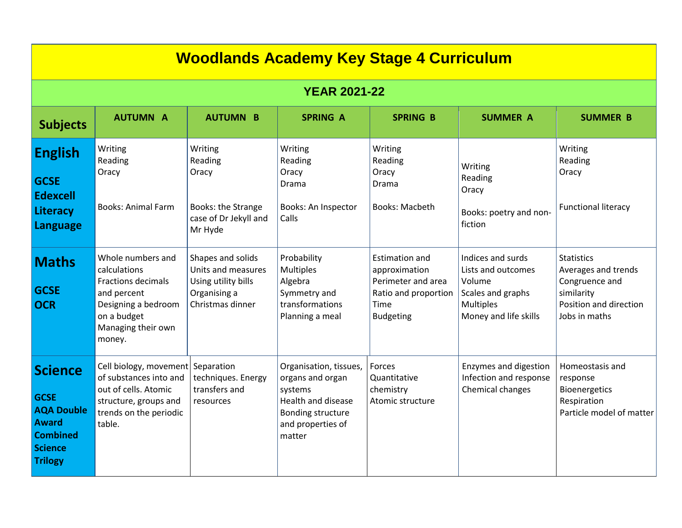| <b>Woodlands Academy Key Stage 4 Curriculum</b>                                                                           |                                                                                                                                                     |                                                                                                    |                                                                                                                                 |                                                                                                                  |                                                                                                                     |                                                                                                                     |
|---------------------------------------------------------------------------------------------------------------------------|-----------------------------------------------------------------------------------------------------------------------------------------------------|----------------------------------------------------------------------------------------------------|---------------------------------------------------------------------------------------------------------------------------------|------------------------------------------------------------------------------------------------------------------|---------------------------------------------------------------------------------------------------------------------|---------------------------------------------------------------------------------------------------------------------|
| <b>YEAR 2021-22</b>                                                                                                       |                                                                                                                                                     |                                                                                                    |                                                                                                                                 |                                                                                                                  |                                                                                                                     |                                                                                                                     |
| <b>Subjects</b>                                                                                                           | <b>AUTUMN A</b>                                                                                                                                     | <b>AUTUMN B</b>                                                                                    | <b>SPRING A</b>                                                                                                                 | <b>SPRING B</b>                                                                                                  | <b>SUMMER A</b>                                                                                                     | <b>SUMMER B</b>                                                                                                     |
| <b>English</b><br><b>GCSE</b><br><b>Edexcell</b><br><b>Literacy</b><br><b>Language</b>                                    | Writing<br>Reading<br>Oracy<br><b>Books: Animal Farm</b>                                                                                            | Writing<br>Reading<br>Oracy<br>Books: the Strange<br>case of Dr Jekyll and<br>Mr Hyde              | Writing<br>Reading<br>Oracy<br>Drama<br><b>Books: An Inspector</b><br>Calls                                                     | Writing<br>Reading<br>Oracy<br>Drama<br><b>Books: Macbeth</b>                                                    | Writing<br>Reading<br>Oracy<br>Books: poetry and non-<br>fiction                                                    | Writing<br>Reading<br>Oracy<br><b>Functional literacy</b>                                                           |
| <b>Maths</b><br><b>GCSE</b><br><b>OCR</b>                                                                                 | Whole numbers and<br>calculations<br><b>Fractions decimals</b><br>and percent<br>Designing a bedroom<br>on a budget<br>Managing their own<br>money. | Shapes and solids<br>Units and measures<br>Using utility bills<br>Organising a<br>Christmas dinner | Probability<br>Multiples<br>Algebra<br>Symmetry and<br>transformations<br>Planning a meal                                       | <b>Estimation and</b><br>approximation<br>Perimeter and area<br>Ratio and proportion<br>Time<br><b>Budgeting</b> | Indices and surds<br>Lists and outcomes<br>Volume<br>Scales and graphs<br><b>Multiples</b><br>Money and life skills | <b>Statistics</b><br>Averages and trends<br>Congruence and<br>similarity<br>Position and direction<br>Jobs in maths |
| <b>Science</b><br><b>GCSE</b><br><b>AQA Double</b><br><b>Award</b><br><b>Combined</b><br><b>Science</b><br><b>Trilogy</b> | Cell biology, movement<br>of substances into and<br>out of cells. Atomic<br>structure, groups and<br>trends on the periodic<br>table.               | Separation<br>techniques. Energy<br>transfers and<br>resources                                     | Organisation, tissues,<br>organs and organ<br>systems<br>Health and disease<br>Bonding structure<br>and properties of<br>matter | Forces<br>Quantitative<br>chemistry<br>Atomic structure                                                          | Enzymes and digestion<br>Infection and response<br>Chemical changes                                                 | Homeostasis and<br>response<br>Bioenergetics<br>Respiration<br>Particle model of matter                             |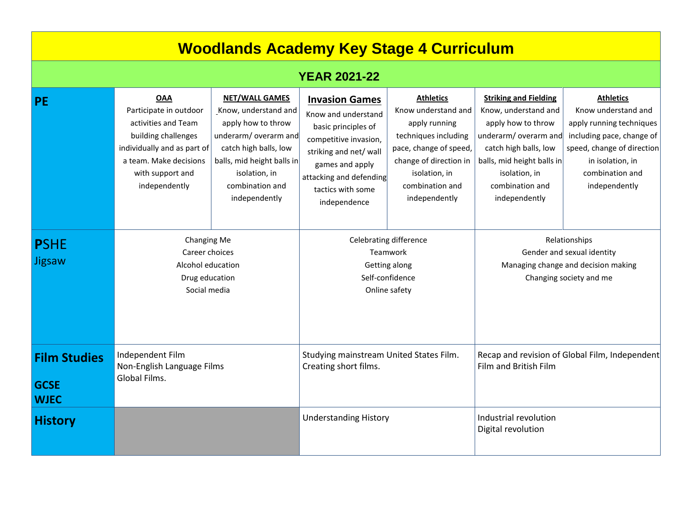## **Woodlands Academy Key Stage 4 Curriculum**

## **YEAR 2021-22**

| <b>PE</b>                                         | <b>OAA</b><br>Participate in outdoor<br>activities and Team<br>building challenges<br>individually and as part of<br>a team. Make decisions<br>with support and<br>independently | <b>NET/WALL GAMES</b><br>Know, understand and<br>apply how to throw<br>underarm/ overarm and<br>catch high balls, low<br>balls, mid height balls in<br>isolation, in<br>combination and<br>independently | <b>Invasion Games</b><br>Know and understand<br>basic principles of<br>competitive invasion,<br>striking and net/ wall<br>games and apply<br>attacking and defending<br>tactics with some<br>independence | <b>Athletics</b><br>Know understand and<br>apply running<br>techniques including<br>pace, change of speed,<br>change of direction in<br>isolation, in<br>combination and<br>independently | <b>Striking and Fielding</b><br>Know, understand and<br>apply how to throw<br>underarm/ overarm and<br>catch high balls, low<br>balls, mid height balls in<br>isolation, in<br>combination and<br>independently | <b>Athletics</b><br>Know understand and<br>apply running techniques<br>including pace, change of<br>speed, change of direction<br>in isolation, in<br>combination and<br>independently |
|---------------------------------------------------|----------------------------------------------------------------------------------------------------------------------------------------------------------------------------------|----------------------------------------------------------------------------------------------------------------------------------------------------------------------------------------------------------|-----------------------------------------------------------------------------------------------------------------------------------------------------------------------------------------------------------|-------------------------------------------------------------------------------------------------------------------------------------------------------------------------------------------|-----------------------------------------------------------------------------------------------------------------------------------------------------------------------------------------------------------------|----------------------------------------------------------------------------------------------------------------------------------------------------------------------------------------|
| <b>PSHE</b><br><b>Jigsaw</b>                      | <b>Changing Me</b><br>Career choices<br>Alcohol education<br>Drug education<br>Social media                                                                                      |                                                                                                                                                                                                          | Celebrating difference<br>Teamwork<br>Getting along<br>Self-confidence<br>Online safety                                                                                                                   |                                                                                                                                                                                           | Relationships<br>Gender and sexual identity<br>Managing change and decision making<br>Changing society and me                                                                                                   |                                                                                                                                                                                        |
| <b>Film Studies</b><br><b>GCSE</b><br><b>WJEC</b> | Independent Film<br>Non-English Language Films<br>Global Films.                                                                                                                  |                                                                                                                                                                                                          | Studying mainstream United States Film.<br>Creating short films.                                                                                                                                          |                                                                                                                                                                                           | Recap and revision of Global Film, Independent<br>Film and British Film                                                                                                                                         |                                                                                                                                                                                        |
| <b>History</b>                                    |                                                                                                                                                                                  |                                                                                                                                                                                                          | <b>Understanding History</b>                                                                                                                                                                              |                                                                                                                                                                                           | Industrial revolution<br>Digital revolution                                                                                                                                                                     |                                                                                                                                                                                        |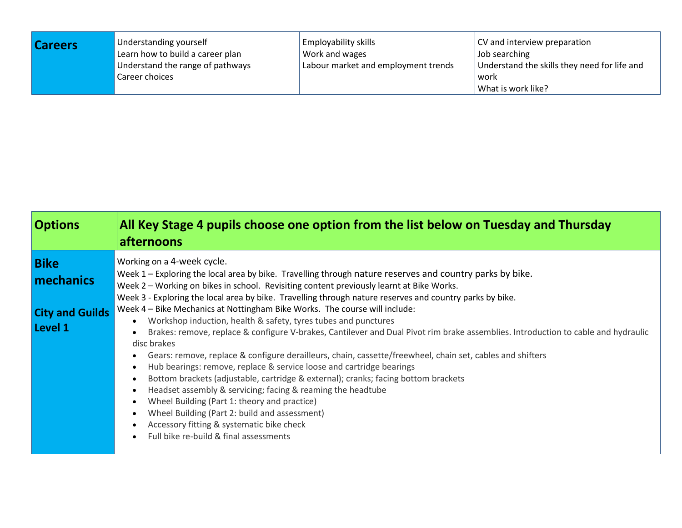| <b>Careers</b> | Understanding yourself           | <b>Employability skills</b>         | CV and interview preparation                 |  |
|----------------|----------------------------------|-------------------------------------|----------------------------------------------|--|
|                | Learn how to build a career plan | Work and wages                      | Job searching                                |  |
|                | Understand the range of pathways | Labour market and employment trends | Understand the skills they need for life and |  |
|                | Career choices                   |                                     | l work<br>What is work like?                 |  |

| <b>Options</b>                                                | All Key Stage 4 pupils choose one option from the list below on Tuesday and Thursday<br>afternoons                                                                                                                                                                                                                                                                                                                                                                                                                                                                                                                                                                                                                                                                                                                                                                                                                                                                                                                                                                                                                                                                                   |
|---------------------------------------------------------------|--------------------------------------------------------------------------------------------------------------------------------------------------------------------------------------------------------------------------------------------------------------------------------------------------------------------------------------------------------------------------------------------------------------------------------------------------------------------------------------------------------------------------------------------------------------------------------------------------------------------------------------------------------------------------------------------------------------------------------------------------------------------------------------------------------------------------------------------------------------------------------------------------------------------------------------------------------------------------------------------------------------------------------------------------------------------------------------------------------------------------------------------------------------------------------------|
| <b>Bike</b><br>mechanics<br><b>City and Guilds</b><br>Level 1 | Working on a 4-week cycle.<br>Week 1 - Exploring the local area by bike. Travelling through nature reserves and country parks by bike.<br>Week 2 - Working on bikes in school. Revisiting content previously learnt at Bike Works.<br>Week 3 - Exploring the local area by bike. Travelling through nature reserves and country parks by bike.<br>Week 4 - Bike Mechanics at Nottingham Bike Works. The course will include:<br>Workshop induction, health & safety, tyres tubes and punctures<br>Brakes: remove, replace & configure V-brakes, Cantilever and Dual Pivot rim brake assemblies. Introduction to cable and hydraulic<br>disc brakes<br>Gears: remove, replace & configure derailleurs, chain, cassette/freewheel, chain set, cables and shifters<br>Hub bearings: remove, replace & service loose and cartridge bearings<br>Bottom brackets (adjustable, cartridge & external); cranks; facing bottom brackets<br>Headset assembly & servicing; facing & reaming the headtube<br>Wheel Building (Part 1: theory and practice)<br>Wheel Building (Part 2: build and assessment)<br>Accessory fitting & systematic bike check<br>Full bike re-build & final assessments |
|                                                               |                                                                                                                                                                                                                                                                                                                                                                                                                                                                                                                                                                                                                                                                                                                                                                                                                                                                                                                                                                                                                                                                                                                                                                                      |